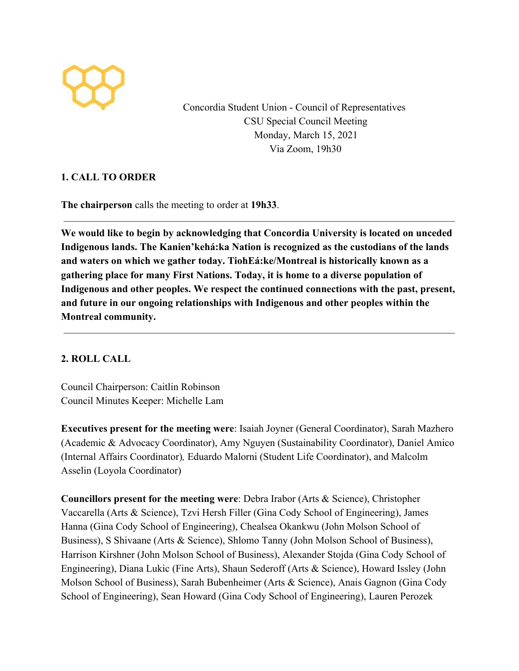

Concordia Student Union - Council of Representatives CSU Special Council Meeting Monday, March 15, 2021 Via Zoom, 19h30

## **1. CALL TO ORDER**

**The chairperson** calls the meeting to order at **19h33**.

**We would like to begin by acknowledging that Concordia University is located on unceded Indigenous lands. The Kanien'kehá:ka Nation is recognized as the custodians of the lands and waters on which we gather today. TiohEá:ke/Montreal is historically known as a gathering place for many First Nations. Today, it is home to a diverse population of Indigenous and other peoples. We respect the continued connections with the past, present, and future in our ongoing relationships with Indigenous and other peoples within the Montreal community.**

## **2. ROLL CALL**

Council Chairperson: Caitlin Robinson Council Minutes Keeper: Michelle Lam

**Executives present for the meeting were**: Isaiah Joyner (General Coordinator), Sarah Mazhero (Academic & Advocacy Coordinator), Amy Nguyen (Sustainability Coordinator), Daniel Amico (Internal Affairs Coordinator)*,* Eduardo Malorni (Student Life Coordinator), and Malcolm Asselin (Loyola Coordinator)

**Councillors present for the meeting were**: Debra Irabor (Arts & Science), Christopher Vaccarella (Arts & Science), Tzvi Hersh Filler (Gina Cody School of Engineering), James Hanna (Gina Cody School of Engineering), Chealsea Okankwu (John Molson School of Business), S Shivaane (Arts & Science), Shlomo Tanny (John Molson School of Business), Harrison Kirshner (John Molson School of Business), Alexander Stojda (Gina Cody School of Engineering), Diana Lukic (Fine Arts), Shaun Sederoff (Arts & Science), Howard Issley (John Molson School of Business), Sarah Bubenheimer (Arts & Science), Anais Gagnon (Gina Cody School of Engineering), Sean Howard (Gina Cody School of Engineering), Lauren Perozek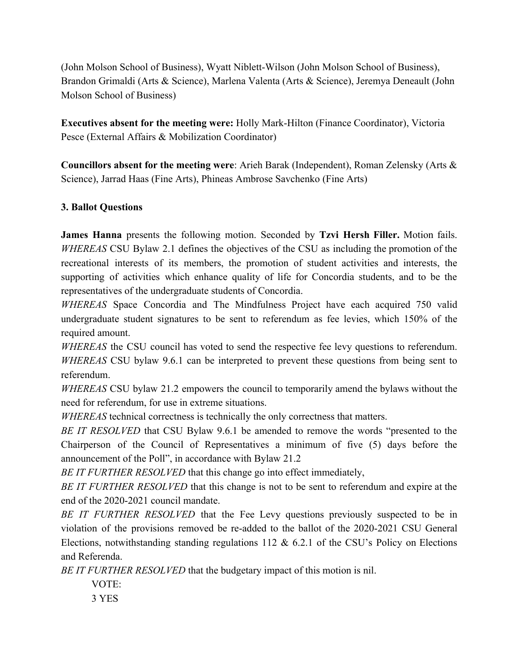(John Molson School of Business), Wyatt Niblett-Wilson (John Molson School of Business), Brandon Grimaldi (Arts & Science), Marlena Valenta (Arts & Science), Jeremya Deneault (John Molson School of Business)

**Executives absent for the meeting were:** Holly Mark-Hilton (Finance Coordinator), Victoria Pesce (External Affairs & Mobilization Coordinator)

**Councillors absent for the meeting were**: Arieh Barak (Independent), Roman Zelensky (Arts & Science), Jarrad Haas (Fine Arts), Phineas Ambrose Savchenko (Fine Arts)

## **3. Ballot Questions**

**James Hanna** presents the following motion. Seconded by **Tzvi Hersh Filler.** Motion fails. *WHEREAS* CSU Bylaw 2.1 defines the objectives of the CSU as including the promotion of the recreational interests of its members, the promotion of student activities and interests, the supporting of activities which enhance quality of life for Concordia students, and to be the representatives of the undergraduate students of Concordia.

*WHEREAS* Space Concordia and The Mindfulness Project have each acquired 750 valid undergraduate student signatures to be sent to referendum as fee levies, which 150% of the required amount.

*WHEREAS* the CSU council has voted to send the respective fee levy questions to referendum. *WHEREAS* CSU bylaw 9.6.1 can be interpreted to prevent these questions from being sent to referendum.

*WHEREAS* CSU bylaw 21.2 empowers the council to temporarily amend the bylaws without the need for referendum, for use in extreme situations.

*WHEREAS* technical correctness is technically the only correctness that matters.

*BE IT RESOLVED* that CSU Bylaw 9.6.1 be amended to remove the words "presented to the Chairperson of the Council of Representatives a minimum of five (5) days before the announcement of the Poll", in accordance with Bylaw 21.2

*BE IT FURTHER RESOLVED* that this change go into effect immediately,

*BE IT FURTHER RESOLVED* that this change is not to be sent to referendum and expire at the end of the 2020-2021 council mandate.

*BE IT FURTHER RESOLVED* that the Fee Levy questions previously suspected to be in violation of the provisions removed be re-added to the ballot of the 2020-2021 CSU General Elections, notwithstanding standing regulations 112 & 6.2.1 of the CSU's Policy on Elections and Referenda.

*BE IT FURTHER RESOLVED* that the budgetary impact of this motion is nil.

VOTE:

3 YES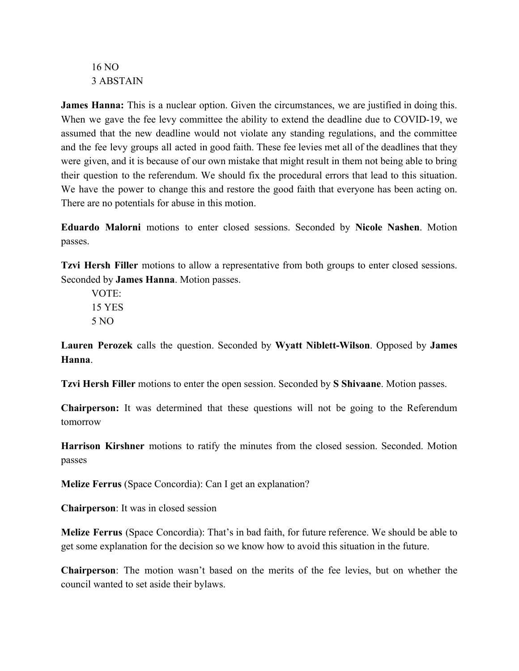16 NO 3 ABSTAIN

**James Hanna:** This is a nuclear option. Given the circumstances, we are justified in doing this. When we gave the fee levy committee the ability to extend the deadline due to COVID-19, we assumed that the new deadline would not violate any standing regulations, and the committee and the fee levy groups all acted in good faith. These fee levies met all of the deadlines that they were given, and it is because of our own mistake that might result in them not being able to bring their question to the referendum. We should fix the procedural errors that lead to this situation. We have the power to change this and restore the good faith that everyone has been acting on. There are no potentials for abuse in this motion.

**Eduardo Malorni** motions to enter closed sessions. Seconded by **Nicole Nashen**. Motion passes.

**Tzvi Hersh Filler** motions to allow a representative from both groups to enter closed sessions. Seconded by **James Hanna**. Motion passes.

VOTE: 15 YES 5 NO

**Lauren Perozek** calls the question. Seconded by **Wyatt Niblett-Wilson**. Opposed by **James Hanna**.

**Tzvi Hersh Filler** motions to enter the open session. Seconded by **S Shivaane**. Motion passes.

**Chairperson:** It was determined that these questions will not be going to the Referendum tomorrow

**Harrison Kirshner** motions to ratify the minutes from the closed session. Seconded. Motion passes

**Melize Ferrus** (Space Concordia): Can I get an explanation?

**Chairperson**: It was in closed session

**Melize Ferrus** (Space Concordia): That's in bad faith, for future reference. We should be able to get some explanation for the decision so we know how to avoid this situation in the future.

**Chairperson**: The motion wasn't based on the merits of the fee levies, but on whether the council wanted to set aside their bylaws.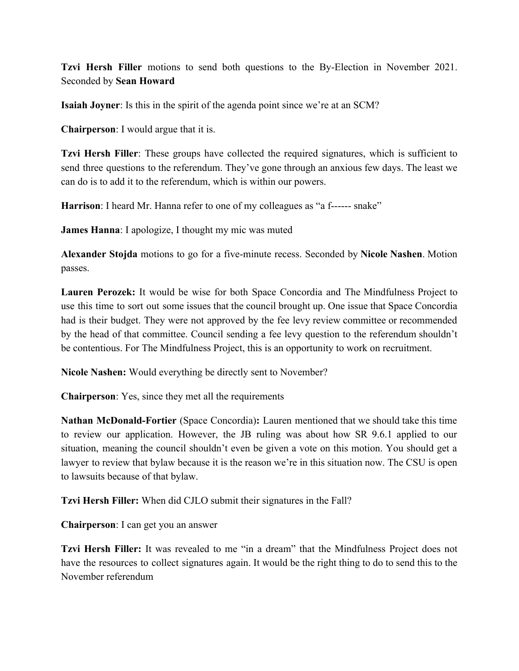**Tzvi Hersh Filler** motions to send both questions to the By-Election in November 2021. Seconded by **Sean Howard**

**Isaiah Joyner**: Is this in the spirit of the agenda point since we're at an SCM?

**Chairperson**: I would argue that it is.

**Tzvi Hersh Filler**: These groups have collected the required signatures, which is sufficient to send three questions to the referendum. They've gone through an anxious few days. The least we can do is to add it to the referendum, which is within our powers.

**Harrison**: I heard Mr. Hanna refer to one of my colleagues as "a f------ snake"

**James Hanna**: I apologize, I thought my mic was muted

**Alexander Stojda** motions to go for a five-minute recess. Seconded by **Nicole Nashen**. Motion passes.

**Lauren Perozek:** It would be wise for both Space Concordia and The Mindfulness Project to use this time to sort out some issues that the council brought up. One issue that Space Concordia had is their budget. They were not approved by the fee levy review committee or recommended by the head of that committee. Council sending a fee levy question to the referendum shouldn't be contentious. For The Mindfulness Project, this is an opportunity to work on recruitment.

**Nicole Nashen:** Would everything be directly sent to November?

**Chairperson**: Yes, since they met all the requirements

**Nathan McDonald-Fortier** (Space Concordia)**:** Lauren mentioned that we should take this time to review our application. However, the JB ruling was about how SR 9.6.1 applied to our situation, meaning the council shouldn't even be given a vote on this motion. You should get a lawyer to review that bylaw because it is the reason we're in this situation now. The CSU is open to lawsuits because of that bylaw.

**Tzvi Hersh Filler:** When did CJLO submit their signatures in the Fall?

**Chairperson**: I can get you an answer

**Tzvi Hersh Filler:** It was revealed to me "in a dream" that the Mindfulness Project does not have the resources to collect signatures again. It would be the right thing to do to send this to the November referendum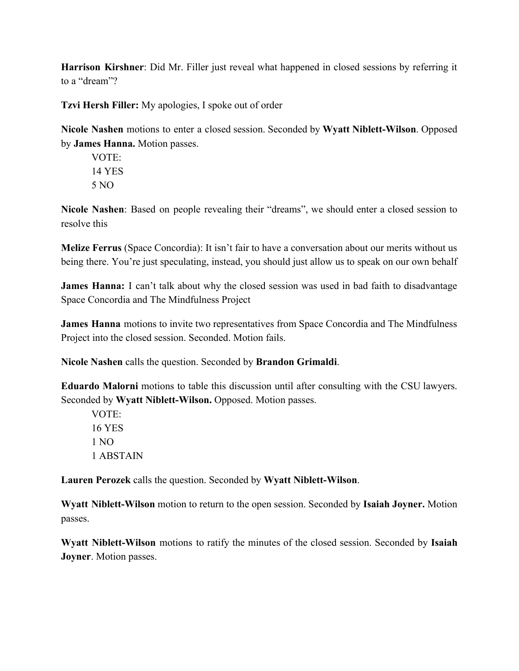**Harrison Kirshner**: Did Mr. Filler just reveal what happened in closed sessions by referring it to a "dream"?

**Tzvi Hersh Filler:** My apologies, I spoke out of order

**Nicole Nashen** motions to enter a closed session. Seconded by **Wyatt Niblett-Wilson**. Opposed by **James Hanna.** Motion passes.

VOTE: 14 YES 5 NO

**Nicole Nashen**: Based on people revealing their "dreams", we should enter a closed session to resolve this

**Melize Ferrus** (Space Concordia): It isn't fair to have a conversation about our merits without us being there. You're just speculating, instead, you should just allow us to speak on our own behalf

**James Hanna:** I can't talk about why the closed session was used in bad faith to disadvantage Space Concordia and The Mindfulness Project

**James Hanna** motions to invite two representatives from Space Concordia and The Mindfulness Project into the closed session. Seconded. Motion fails.

**Nicole Nashen** calls the question. Seconded by **Brandon Grimaldi**.

**Eduardo Malorni** motions to table this discussion until after consulting with the CSU lawyers. Seconded by **Wyatt Niblett-Wilson.** Opposed. Motion passes.

VOTE: 16 YES 1 NO 1 ABSTAIN

**Lauren Perozek** calls the question. Seconded by **Wyatt Niblett-Wilson**.

**Wyatt Niblett-Wilson** motion to return to the open session. Seconded by **Isaiah Joyner.** Motion passes.

**Wyatt Niblett-Wilson** motions to ratify the minutes of the closed session. Seconded by **Isaiah Joyner**. Motion passes.